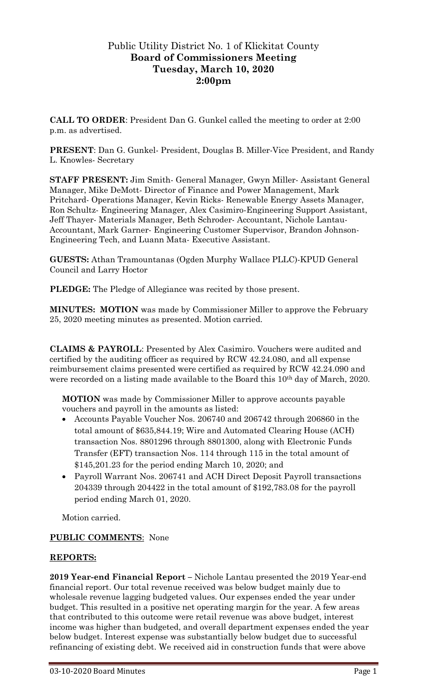# Public Utility District No. 1 of Klickitat County **Board of Commissioners Meeting Tuesday, March 10, 2020 2:00pm**

**CALL TO ORDER**: President Dan G. Gunkel called the meeting to order at 2:00 p.m. as advertised.

**PRESENT**: Dan G. Gunkel- President, Douglas B. Miller-Vice President, and Randy L. Knowles- Secretary

**STAFF PRESENT:** Jim Smith- General Manager, Gwyn Miller- Assistant General Manager, Mike DeMott- Director of Finance and Power Management, Mark Pritchard- Operations Manager, Kevin Ricks- Renewable Energy Assets Manager, Ron Schultz- Engineering Manager, Alex Casimiro-Engineering Support Assistant, Jeff Thayer- Materials Manager, Beth Schroder- Accountant, Nichole Lantau-Accountant, Mark Garner- Engineering Customer Supervisor, Brandon Johnson-Engineering Tech, and Luann Mata- Executive Assistant.

**GUESTS:** Athan Tramountanas (Ogden Murphy Wallace PLLC)-KPUD General Council and Larry Hoctor

**PLEDGE:** The Pledge of Allegiance was recited by those present.

**MINUTES: MOTION** was made by Commissioner Miller to approve the February 25, 2020 meeting minutes as presented. Motion carried.

**CLAIMS & PAYROLL**: Presented by Alex Casimiro. Vouchers were audited and certified by the auditing officer as required by RCW 42.24.080, and all expense reimbursement claims presented were certified as required by RCW 42.24.090 and were recorded on a listing made available to the Board this 10<sup>th</sup> day of March, 2020.

**MOTION** was made by Commissioner Miller to approve accounts payable vouchers and payroll in the amounts as listed:

- Accounts Payable Voucher Nos. 206740 and 206742 through 206860 in the total amount of \$635,844.19; Wire and Automated Clearing House (ACH) transaction Nos. 8801296 through 8801300, along with Electronic Funds Transfer (EFT) transaction Nos. 114 through 115 in the total amount of \$145,201.23 for the period ending March 10, 2020; and
- Payroll Warrant Nos. 206741 and ACH Direct Deposit Payroll transactions 204339 through 204422 in the total amount of \$192,783.08 for the payroll period ending March 01, 2020.

Motion carried.

#### **PUBLIC COMMENTS**: None

### **REPORTS:**

**2019 Year-end Financial Report –** Nichole Lantau presented the 2019 Year-end financial report. Our total revenue received was below budget mainly due to wholesale revenue lagging budgeted values. Our expenses ended the year under budget. This resulted in a positive net operating margin for the year. A few areas that contributed to this outcome were retail revenue was above budget, interest income was higher than budgeted, and overall department expenses ended the year below budget. Interest expense was substantially below budget due to successful refinancing of existing debt. We received aid in construction funds that were above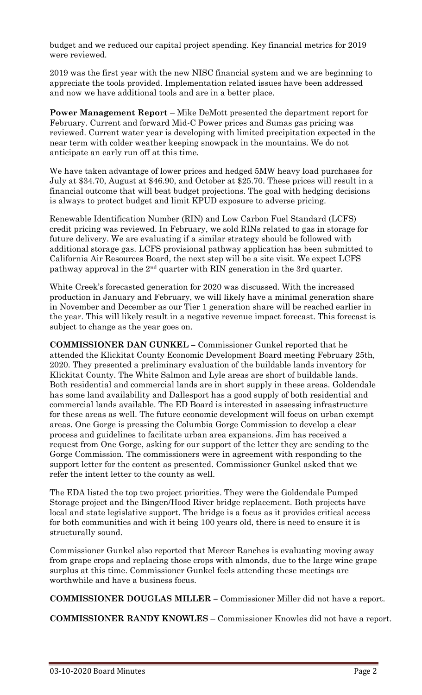budget and we reduced our capital project spending. Key financial metrics for 2019 were reviewed.

2019 was the first year with the new NISC financial system and we are beginning to appreciate the tools provided. Implementation related issues have been addressed and now we have additional tools and are in a better place.

**Power Management Report** – Mike DeMott presented the department report for February. Current and forward Mid-C Power prices and Sumas gas pricing was reviewed. Current water year is developing with limited precipitation expected in the near term with colder weather keeping snowpack in the mountains. We do not anticipate an early run off at this time.

We have taken advantage of lower prices and hedged 5MW heavy load purchases for July at \$34.70, August at \$46.90, and October at \$25.70. These prices will result in a financial outcome that will beat budget projections. The goal with hedging decisions is always to protect budget and limit KPUD exposure to adverse pricing.

Renewable Identification Number (RIN) and Low Carbon Fuel Standard (LCFS) credit pricing was reviewed. In February, we sold RINs related to gas in storage for future delivery. We are evaluating if a similar strategy should be followed with additional storage gas. LCFS provisional pathway application has been submitted to California Air Resources Board, the next step will be a site visit. We expect LCFS pathway approval in the 2<sup>nd</sup> quarter with RIN generation in the 3rd quarter.

White Creek's forecasted generation for 2020 was discussed. With the increased production in January and February, we will likely have a minimal generation share in November and December as our Tier 1 generation share will be reached earlier in the year. This will likely result in a negative revenue impact forecast. This forecast is subject to change as the year goes on.

**COMMISSIONER DAN GUNKEL –** Commissioner Gunkel reported that he attended the Klickitat County Economic Development Board meeting February 25th, 2020. They presented a preliminary evaluation of the buildable lands inventory for Klickitat County. The White Salmon and Lyle areas are short of buildable lands. Both residential and commercial lands are in short supply in these areas. Goldendale has some land availability and Dallesport has a good supply of both residential and commercial lands available. The ED Board is interested in assessing infrastructure for these areas as well. The future economic development will focus on urban exempt areas. One Gorge is pressing the Columbia Gorge Commission to develop a clear process and guidelines to facilitate urban area expansions. Jim has received a request from One Gorge, asking for our support of the letter they are sending to the Gorge Commission. The commissioners were in agreement with responding to the support letter for the content as presented. Commissioner Gunkel asked that we refer the intent letter to the county as well.

The EDA listed the top two project priorities. They were the Goldendale Pumped Storage project and the Bingen/Hood River bridge replacement. Both projects have local and state legislative support. The bridge is a focus as it provides critical access for both communities and with it being 100 years old, there is need to ensure it is structurally sound.

Commissioner Gunkel also reported that Mercer Ranches is evaluating moving away from grape crops and replacing those crops with almonds, due to the large wine grape surplus at this time. Commissioner Gunkel feels attending these meetings are worthwhile and have a business focus.

**COMMISSIONER DOUGLAS MILLER –** Commissioner Miller did not have a report.

**COMMISSIONER RANDY KNOWLES** – Commissioner Knowles did not have a report.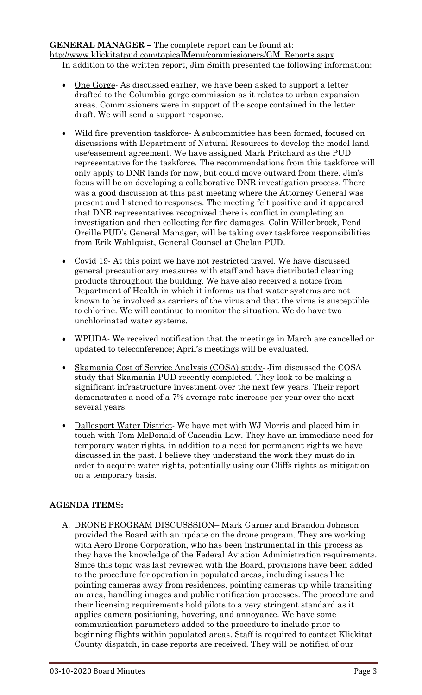**GENERAL MANAGER –** The complete report can be found at: [htp://www.klickitatpud.com/topicalMenu/commissioners/GM\\_Reports.aspx](http://www.klickitatpud.com/topicalMenu/commissioners/GM_Reports.aspx) In addition to the written report, Jim Smith presented the following information:

- One Gorge- As discussed earlier, we have been asked to support a letter drafted to the Columbia gorge commission as it relates to urban expansion areas. Commissioners were in support of the scope contained in the letter draft. We will send a support response.
- Wild fire prevention taskforce A subcommittee has been formed, focused on discussions with Department of Natural Resources to develop the model land use/easement agreement. We have assigned Mark Pritchard as the PUD representative for the taskforce. The recommendations from this taskforce will only apply to DNR lands for now, but could move outward from there. Jim's focus will be on developing a collaborative DNR investigation process. There was a good discussion at this past meeting where the Attorney General was present and listened to responses. The meeting felt positive and it appeared that DNR representatives recognized there is conflict in completing an investigation and then collecting for fire damages. Colin Willenbrock, Pend Oreille PUD's General Manager, will be taking over taskforce responsibilities from Erik Wahlquist, General Counsel at Chelan PUD.
- Covid 19- At this point we have not restricted travel. We have discussed general precautionary measures with staff and have distributed cleaning products throughout the building. We have also received a notice from Department of Health in which it informs us that water systems are not known to be involved as carriers of the virus and that the virus is susceptible to chlorine. We will continue to monitor the situation. We do have two unchlorinated water systems.
- WPUDA- We received notification that the meetings in March are cancelled or updated to teleconference; April's meetings will be evaluated.
- Skamania Cost of Service Analysis (COSA) study Jim discussed the COSA study that Skamania PUD recently completed. They look to be making a significant infrastructure investment over the next few years. Their report demonstrates a need of a 7% average rate increase per year over the next several years.
- Dallesport Water District- We have met with WJ Morris and placed him in touch with Tom McDonald of Cascadia Law. They have an immediate need for temporary water rights, in addition to a need for permanent rights we have discussed in the past. I believe they understand the work they must do in order to acquire water rights, potentially using our Cliffs rights as mitigation on a temporary basis.

## **AGENDA ITEMS:**

A. DRONE PROGRAM DISCUSSSION– Mark Garner and Brandon Johnson provided the Board with an update on the drone program. They are working with Aero Drone Corporation, who has been instrumental in this process as they have the knowledge of the Federal Aviation Administration requirements. Since this topic was last reviewed with the Board, provisions have been added to the procedure for operation in populated areas, including issues like pointing cameras away from residences, pointing cameras up while transiting an area, handling images and public notification processes. The procedure and their licensing requirements hold pilots to a very stringent standard as it applies camera positioning, hovering, and annoyance. We have some communication parameters added to the procedure to include prior to beginning flights within populated areas. Staff is required to contact Klickitat County dispatch, in case reports are received. They will be notified of our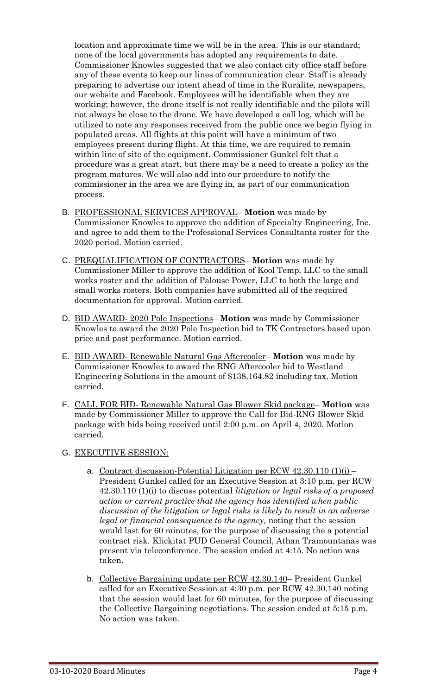location and approximate time we will be in the area. This is our standard; none of the local governments has adopted any requirements to date. Commissioner Knowles suggested that we also contact city office staff before any of these events to keep our lines of communication clear. Staff is already preparing to advertise our intent ahead of time in the Ruralite, newspapers, our website and Facebook. Employees will be identifiable when they are working; however, the drone itself is not really identifiable and the pilots will not always be close to the drone. We have developed a call log, which will be utilized to note any responses received from the public once we begin flying in populated areas. All flights at this point will have a minimum of two employees present during flight. At this time, we are required to remain within line of site of the equipment. Commissioner Gunkel felt that a procedure was a great start, but there may be a need to create a policy as the program matures. We will also add into our procedure to notify the commissioner in the area we are flying in, as part of our communication process.

- B. PROFESSIONAL SERVICES APPROVAL– **Motion** was made by Commissioner Knowles to approve the addition of Specialty Engineering, Inc. and agree to add them to the Professional Services Consultants roster for the 2020 period. Motion carried.
- C. PREQUALIFICATION OF CONTRACTORS– **Motion** was made by Commissioner Miller to approve the addition of Kool Temp, LLC to the small works roster and the addition of Palouse Power, LLC to both the large and small works rosters. Both companies have submitted all of the required documentation for approval. Motion carried.
- D. BID AWARD- 2020 Pole Inspections– **Motion** was made by Commissioner Knowles to award the 2020 Pole Inspection bid to TK Contractors based upon price and past performance. Motion carried.
- E. BID AWARD- Renewable Natural Gas Aftercooler– **Motion** was made by Commissioner Knowles to award the RNG Aftercooler bid to Westland Engineering Solutions in the amount of \$138,164.82 including tax. Motion carried.
- F. CALL FOR BID- Renewable Natural Gas Blower Skid package– **Motion** was made by Commissioner Miller to approve the Call for Bid-RNG Blower Skid package with bids being received until 2:00 p.m. on April 4, 2020. Motion carried.

## G. EXECUTIVE SESSION:

- a. Contract discussion-Potential Litigation per RCW  $42.30.110(1)(i)$ President Gunkel called for an Executive Session at 3:10 p.m. per RCW 42.30.110 (1)(i) to discuss potential *litigation or legal risks of a proposed action or current practice that the agency has identified when public discussion of the litigation or legal risks is likely to result in an adverse legal or financial consequence to the agency,* noting that the session would last for 60 minutes, for the purpose of discussing the a potential contract risk. Klickitat PUD General Council, Athan Tramountanas was present via teleconference. The session ended at 4:15. No action was taken.
- b. Collective Bargaining update per RCW 42.30.140– President Gunkel called for an Executive Session at 4:30 p.m. per RCW 42.30.140 noting that the session would last for 60 minutes, for the purpose of discussing the Collective Bargaining negotiations. The session ended at 5:15 p.m. No action was taken.